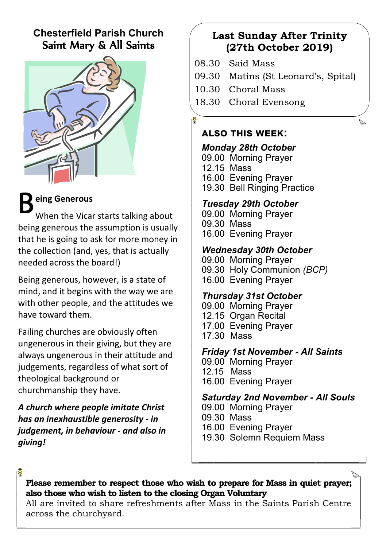# **Chesterfield Parish Church** Saint Mary & All Saints





Being generous, however, is a state of mind, and it begins with the way we are with other people, and the attitudes we have toward them.

Failing churches are obviously often ungenerous in their giving, but they are always ungenerous in their attitude and judgements, regardless of what sort of theological background or churchmanship they have.

*A church where people imitate Christ has an inexhaustible generosity - in judgement, in behaviour - and also in giving!*

# **Last Sunday After Trinity (27th October 2019)**

- 08.30 Said Mass
- 09.30 Matins (St Leonard's, Spital)
- 10.30 Choral Mass
- 18.30 Choral Evensong

## **also this week:**

*Monday 28th October*

09.00 Morning Prayer 12.15 Mass 16.00 Evening Prayer 19.30 Bell Ringing Practice

# *Tuesday 29th October*

09.00 Morning Prayer 09.30 Mass 16.00 Evening Prayer

## *Wednesday 30th October*

09.00 Morning Prayer 09.30 Holy Communion *(BCP)* 16.00 Evening Prayer

## *Thursday 31st October*

09.00 Morning Prayer 12.15 Organ Recital 17.00 Evening Prayer 17.30 Mass

## *Friday 1st November - All Saints*

09.00 Morning Prayer 12.15 Mass 16.00 Evening Prayer

*Saturday 2nd November - All Souls* 

09.00 Morning Prayer 09.30 Mass 16.00 Evening Prayer 19.30 Solemn Requiem Mass

### **Please remember to respect those who wish to prepare for Mass in quiet prayer; also those who wish to listen to the closing Organ Voluntary**

All are invited to share refreshments after Mass in the Saints Parish Centre across the churchyard.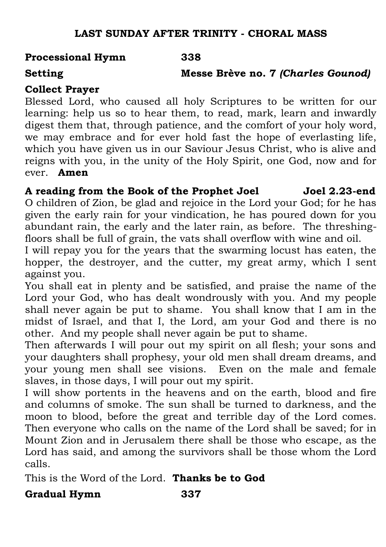## **Processional Hymn 338**

**Setting Messe Brève no. 7** *(Charles Gounod)*

## **Collect Prayer**

Blessed Lord, who caused all holy Scriptures to be written for our learning: help us so to hear them, to read, mark, learn and inwardly digest them that, through patience, and the comfort of your holy word, we may embrace and for ever hold fast the hope of everlasting life, which you have given us in our Saviour Jesus Christ, who is alive and reigns with you, in the unity of the Holy Spirit, one God, now and for ever. **Amen**

**A reading from the Book of the Prophet Joel Joel 2.23-end**

O children of Zion, be glad and rejoice in the Lord your God; for he has given the early rain for your vindication, he has poured down for you abundant rain, the early and the later rain, as before. The threshingfloors shall be full of grain, the vats shall overflow with wine and oil.

I will repay you for the years that the swarming locust has eaten, the hopper, the destroyer, and the cutter, my great army, which I sent against you.

You shall eat in plenty and be satisfied, and praise the name of the Lord your God, who has dealt wondrously with you. And my people shall never again be put to shame. You shall know that I am in the midst of Israel, and that I, the Lord, am your God and there is no other. And my people shall never again be put to shame.

Then afterwards I will pour out my spirit on all flesh; your sons and your daughters shall prophesy, your old men shall dream dreams, and your young men shall see visions. Even on the male and female slaves, in those days, I will pour out my spirit.

I will show portents in the heavens and on the earth, blood and fire and columns of smoke. The sun shall be turned to darkness, and the moon to blood, before the great and terrible day of the Lord comes. Then everyone who calls on the name of the Lord shall be saved; for in Mount Zion and in Jerusalem there shall be those who escape, as the Lord has said, and among the survivors shall be those whom the Lord calls.

This is the Word of the Lord. **Thanks be to God**

# **Gradual Hymn 337**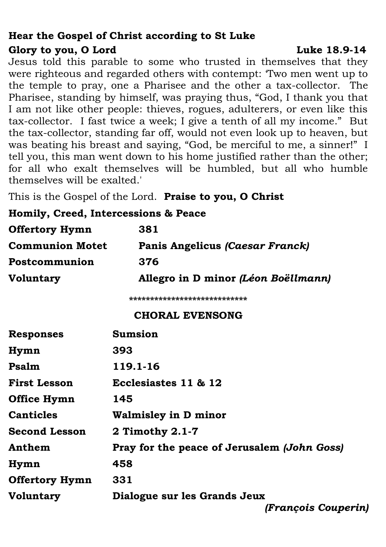# **Hear the Gospel of Christ according to St Luke** Glory to you, O Lord Luke 18.9-14

Jesus told this parable to some who trusted in themselves that they were righteous and regarded others with contempt: 'Two men went up to the temple to pray, one a Pharisee and the other a tax-collector. The Pharisee, standing by himself, was praying thus, "God, I thank you that I am not like other people: thieves, rogues, adulterers, or even like this tax-collector. I fast twice a week; I give a tenth of all my income." But the tax-collector, standing far off, would not even look up to heaven, but was beating his breast and saying, "God, be merciful to me, a sinner!" I tell you, this man went down to his home justified rather than the other; for all who exalt themselves will be humbled, but all who humble themselves will be exalted.'

This is the Gospel of the Lord. **Praise to you, O Christ**

**Homily, Creed, Intercessions & Peace**

| <b>Offertory Hymn</b>  | 381                                                 |
|------------------------|-----------------------------------------------------|
| <b>Communion Motet</b> | Panis Angelicus (Caesar Franck)                     |
| Postcommunion          | 376                                                 |
| <b>Voluntary</b>       | Allegro in D minor (Léon Boëllmann)                 |
|                        | ****************************                        |
|                        | <b>CHORAL EVENSONG</b>                              |
| <b>Responses</b>       | <b>Sumsion</b>                                      |
| Hymn                   | 393                                                 |
| Psalm                  | 119.1-16                                            |
| <b>First Lesson</b>    | Ecclesiastes 11 & 12                                |
| <b>Office Hymn</b>     | 145                                                 |
| <b>Canticles</b>       | <b>Walmisley in D minor</b>                         |
| <b>Second Lesson</b>   | 2 Timothy 2.1-7                                     |
| Anthem                 | Pray for the peace of Jerusalem (John Goss)         |
| Hymn                   | 458                                                 |
| <b>Offertory Hymn</b>  | 331                                                 |
| <b>Voluntary</b>       | Dialogue sur les Grands Jeux<br>(François Couperin) |